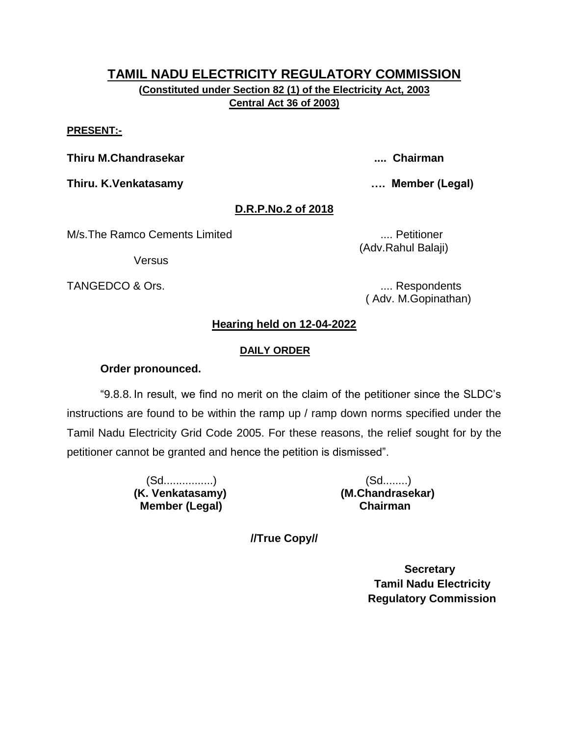# **TAMIL NADU ELECTRICITY REGULATORY COMMISSION (Constituted under Section 82 (1) of the Electricity Act, 2003 Central Act 36 of 2003)**

#### **PRESENT:-**

**Thiru M.Chandrasekar .... Chairman**

**Thiru. K.Venkatasamy …. Member (Legal)**

# **D.R.P.No.2 of 2018**

M/s.The Ramco Cements Limited **..... According to the Contract Contract Contract Contract Contract Contract Contract Contract Contract Contract Contract Contract Contract Contract Contract Contract Contract Contract Contra** 

**Versus** 

TANGEDCO & Ors. .... Respondents

(Adv.Rahul Balaji)

( Adv. M.Gopinathan)

### **Hearing held on 12-04-2022**

#### **DAILY ORDER**

#### **Order pronounced.**

"9.8.8. In result, we find no merit on the claim of the petitioner since the SLDC"s instructions are found to be within the ramp up / ramp down norms specified under the Tamil Nadu Electricity Grid Code 2005. For these reasons, the relief sought for by the petitioner cannot be granted and hence the petition is dismissed".

> (Sd................) (Sd........)  **Member (Legal) Chairman**

**(K. Venkatasamy) (M.Chandrasekar)**

**//True Copy//**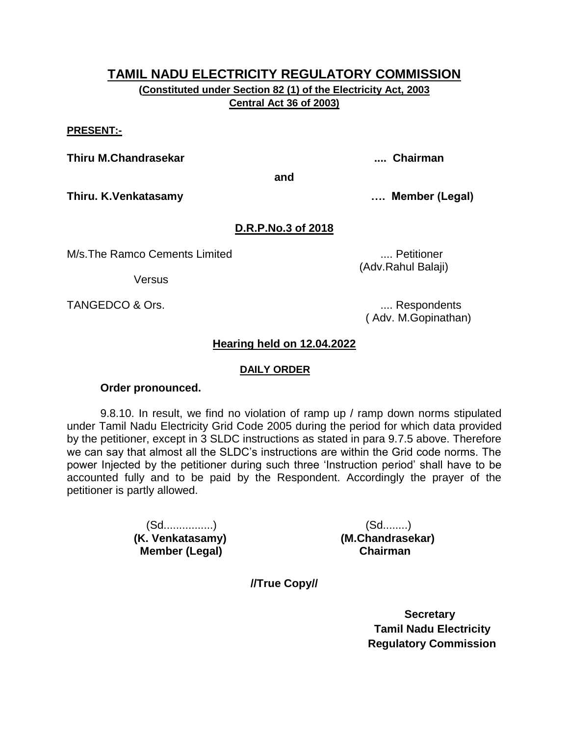**(Constituted under Section 82 (1) of the Electricity Act, 2003 Central Act 36 of 2003)**

#### **PRESENT:-**

**Thiru M.Chandrasekar .... Chairman**

**and**

**Thiru. K.Venkatasamy …. Member (Legal)**

### **D.R.P.No.3 of 2018**

M/s.The Ramco Cements Limited .... Petitioner

**Versus** 

TANGEDCO & Ors.  $\qquad \qquad \ldots$  Respondents

( Adv. M.Gopinathan)

(Adv.Rahul Balaji)

### **Hearing held on 12.04.2022**

#### **DAILY ORDER**

#### **Order pronounced.**

9.8.10. In result, we find no violation of ramp up / ramp down norms stipulated under Tamil Nadu Electricity Grid Code 2005 during the period for which data provided by the petitioner, except in 3 SLDC instructions as stated in para 9.7.5 above. Therefore we can say that almost all the SLDC"s instructions are within the Grid code norms. The power Injected by the petitioner during such three "Instruction period" shall have to be accounted fully and to be paid by the Respondent. Accordingly the prayer of the petitioner is partly allowed.

> (Sd................) (Sd........) **(K. Venkatasamy) (M.Chandrasekar) Member (Legal) Chairman**

**//True Copy//**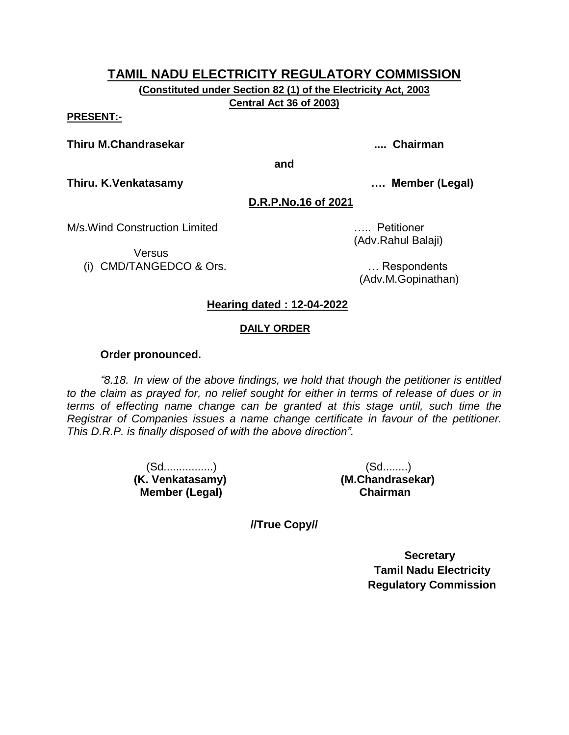**(Constituted under Section 82 (1) of the Electricity Act, 2003 Central Act 36 of 2003)**

#### **PRESENT:-**

#### **Thiru M.Chandrasekar .... Chairman**

**and**

**Thiru. K.Venkatasamy …. Member (Legal)**

**D.R.P.No.16 of 2021**

M/s.Wind Construction Limited ….. Petitioner

Versus

(i) CMD/TANGEDCO & Ors. … Respondents

(Adv.Rahul Balaji)

(Adv.M.Gopinathan)

# **Hearing dated : 12-04-2022**

#### **DAILY ORDER**

#### **Order pronounced.**

*"8.18. In view of the above findings, we hold that though the petitioner is entitled to the claim as prayed for, no relief sought for either in terms of release of dues or in terms of effecting name change can be granted at this stage until, such time the Registrar of Companies issues a name change certificate in favour of the petitioner. This D.R.P. is finally disposed of with the above direction".*

> (Sd................) (Sd........) **(K. Venkatasamy) (M.Chandrasekar) Member (Legal) Chairman**

**//True Copy//**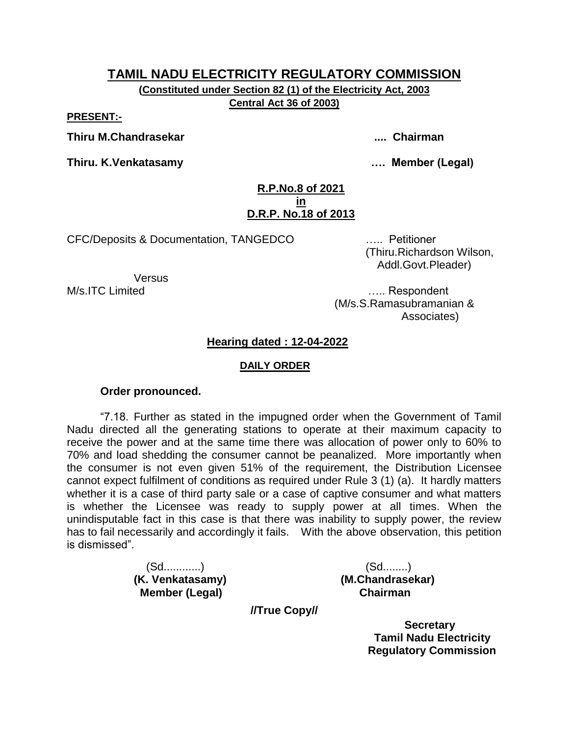**(Constituted under Section 82 (1) of the Electricity Act, 2003 Central Act 36 of 2003)**

**PRESENT:-**

**Thiru M.Chandrasekar .... Chairman**

**Thiru. K.Venkatasamy …. Member (Legal)**

#### **R.P.No.8 of 2021 in D.R.P. No.18 of 2013**

CFC/Deposits & Documentation, TANGEDCO ….. Petitioner

 (Thiru.Richardson Wilson, Addl.Govt.Pleader)

**Versus** 

M/s.ITC Limited **M**/s.ITC Limited (M/s.S.Ramasubramanian & Associates)

# **Hearing dated : 12-04-2022**

#### **DAILY ORDER**

### **Order pronounced.**

"7.18. Further as stated in the impugned order when the Government of Tamil Nadu directed all the generating stations to operate at their maximum capacity to receive the power and at the same time there was allocation of power only to 60% to 70% and load shedding the consumer cannot be peanalized. More importantly when the consumer is not even given 51% of the requirement, the Distribution Licensee cannot expect fulfilment of conditions as required under Rule 3 (1) (a). It hardly matters whether it is a case of third party sale or a case of captive consumer and what matters is whether the Licensee was ready to supply power at all times. When the unindisputable fact in this case is that there was inability to supply power, the review has to fail necessarily and accordingly it fails. With the above observation, this petition is dismissed".

> (Sd............) (Sd........) **(K. Venkatasamy) (M.Chandrasekar) Member (Legal) Chairman**

**//True Copy//**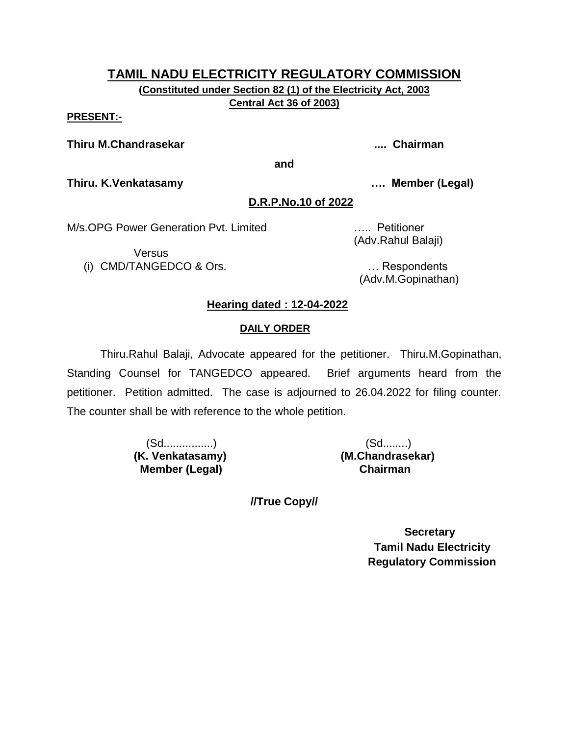**(Constituted under Section 82 (1) of the Electricity Act, 2003 Central Act 36 of 2003)**

**PRESENT:-**

**Thiru M.Chandrasekar .... Chairman**

**and**

**Thiru. K.Venkatasamy …. Member (Legal)**

### **D.R.P.No.10 of 2022**

M/s.OPG Power Generation Pvt. Limited ….. Petitioner

Versus (i) CMD/TANGEDCO & Ors. … Respondents

(Adv.Rahul Balaji)

(Adv.M.Gopinathan)

# **Hearing dated : 12-04-2022**

# **DAILY ORDER**

Thiru.Rahul Balaji, Advocate appeared for the petitioner. Thiru.M.Gopinathan, Standing Counsel for TANGEDCO appeared. Brief arguments heard from the petitioner. Petition admitted. The case is adjourned to 26.04.2022 for filing counter. The counter shall be with reference to the whole petition.

> (Sd................) (Sd........) **(K. Venkatasamy) (M.Chandrasekar) Member (Legal) Chairman**

**//True Copy//**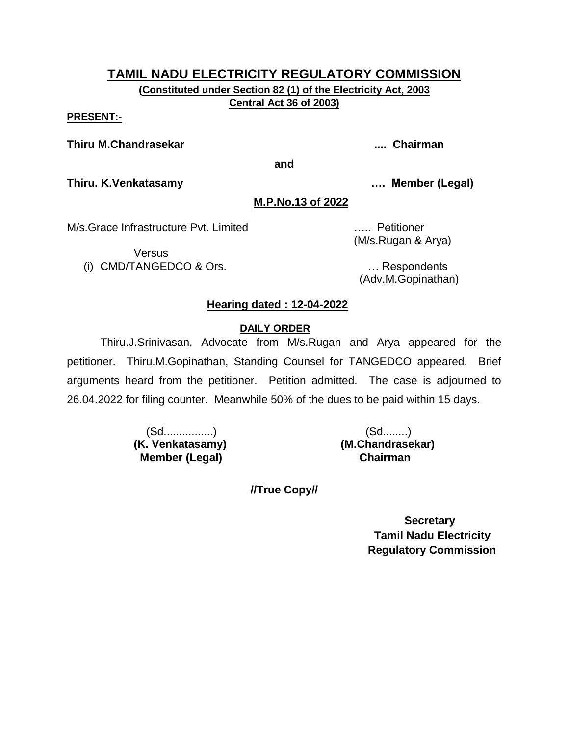**(Constituted under Section 82 (1) of the Electricity Act, 2003 Central Act 36 of 2003)**

#### **PRESENT:-**

#### **Thiru M.Chandrasekar .... Chairman**

**and**

**Thiru. K.Venkatasamy …. Member (Legal)**

#### **M.P.No.13 of 2022**

M/s.Grace Infrastructure Pvt. Limited ….. Petitioner

Versus

(i) CMD/TANGEDCO & Ors. … Respondents

(M/s.Rugan & Arya)

(Adv.M.Gopinathan)

# **Hearing dated : 12-04-2022**

#### **DAILY ORDER**

Thiru.J.Srinivasan, Advocate from M/s.Rugan and Arya appeared for the petitioner. Thiru.M.Gopinathan, Standing Counsel for TANGEDCO appeared. Brief arguments heard from the petitioner. Petition admitted. The case is adjourned to 26.04.2022 for filing counter. Meanwhile 50% of the dues to be paid within 15 days.

> (Sd................) (Sd........) **(K. Venkatasamy) (M.Chandrasekar) Member (Legal)**

**//True Copy//**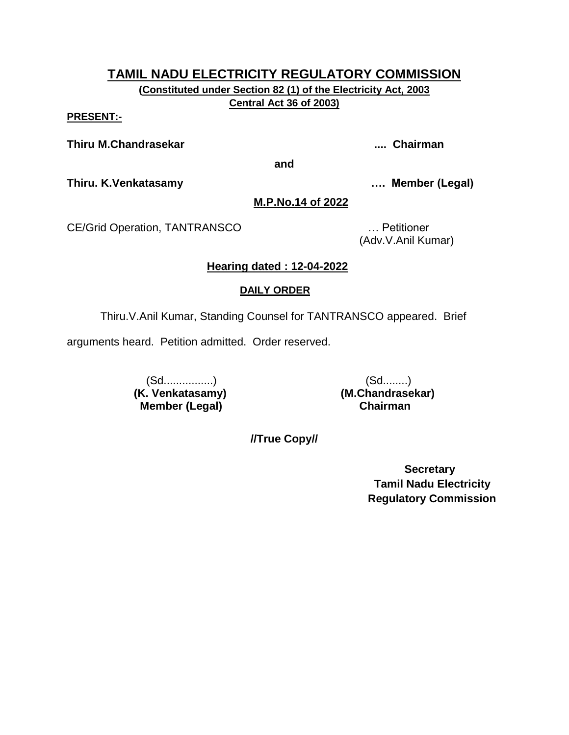**(Constituted under Section 82 (1) of the Electricity Act, 2003 Central Act 36 of 2003)**

**PRESENT:-**

**Thiru M.Chandrasekar .... Chairman**

**and**

**Thiru. K.Venkatasamy …. Member (Legal)**

### **M.P.No.14 of 2022**

CE/Grid Operation, TANTRANSCO … Petitioner

(Adv.V.Anil Kumar)

# **Hearing dated : 12-04-2022**

# **DAILY ORDER**

Thiru.V.Anil Kumar, Standing Counsel for TANTRANSCO appeared. Brief

arguments heard. Petition admitted. Order reserved.

 (Sd................) (Sd........) **(K. Venkatasamy) (M.Chandrasekar) Member (Legal) Chairman**

**//True Copy//**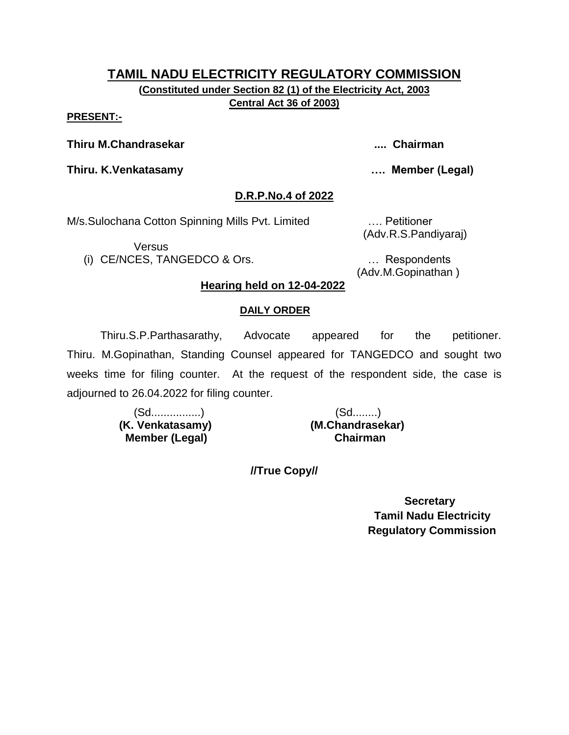**(Constituted under Section 82 (1) of the Electricity Act, 2003 Central Act 36 of 2003)**

#### **PRESENT:-**

**Thiru M.Chandrasekar .... Chairman**

**Thiru. K.Venkatasamy …. Member (Legal)**

#### **D.R.P.No.4 of 2022**

M/s.Sulochana Cotton Spinning Mills Pvt. Limited …. Petitioner

Versus

(i) CE/NCES, TANGEDCO & Ors. … Respondents

(Adv.R.S.Pandiyaraj)

(Adv.M.Gopinathan )

#### **Hearing held on 12-04-2022**

#### **DAILY ORDER**

Thiru.S.P.Parthasarathy, Advocate appeared for the petitioner. Thiru. M.Gopinathan, Standing Counsel appeared for TANGEDCO and sought two weeks time for filing counter. At the request of the respondent side, the case is adjourned to 26.04.2022 for filing counter.

> (Sd................) (Sd........)  **(K. Venkatasamy) (M.Chandrasekar) Member (Legal) Chairman**

**//True Copy//**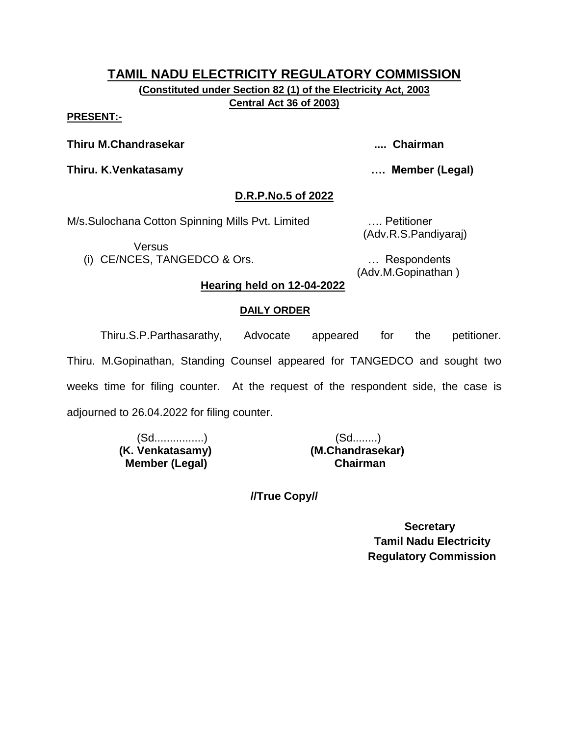**(Constituted under Section 82 (1) of the Electricity Act, 2003 Central Act 36 of 2003)**

#### **PRESENT:-**

**Thiru M.Chandrasekar .... Chairman**

**Thiru. K.Venkatasamy …. Member (Legal)**

#### **D.R.P.No.5 of 2022**

M/s.Sulochana Cotton Spinning Mills Pvt. Limited …. Petitioner

Versus

(i) CE/NCES, TANGEDCO & Ors. … Respondents

(Adv.R.S.Pandiyaraj)

(Adv.M.Gopinathan )

#### **Hearing held on 12-04-2022**

#### **DAILY ORDER**

Thiru.S.P.Parthasarathy, Advocate appeared for the petitioner. Thiru. M.Gopinathan, Standing Counsel appeared for TANGEDCO and sought two weeks time for filing counter. At the request of the respondent side, the case is adjourned to 26.04.2022 for filing counter.

> (Sd................) (Sd........)  **(K. Venkatasamy) (M.Chandrasekar) Member (Legal) Chairman**

**//True Copy//**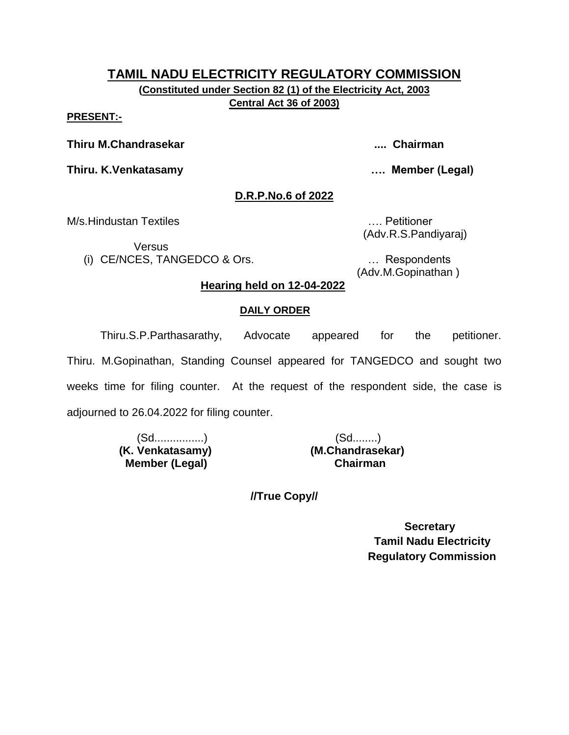**(Constituted under Section 82 (1) of the Electricity Act, 2003 Central Act 36 of 2003)**

#### **PRESENT:-**

**Thiru M.Chandrasekar .... Chairman**

**Thiru. K.Venkatasamy …. Member (Legal)**

#### **D.R.P.No.6 of 2022**

M/s.Hindustan Textiles …. Petitioner

Versus

(i) CE/NCES, TANGEDCO & Ors. … Respondents

(Adv.R.S.Pandiyaraj)

(Adv.M.Gopinathan )

#### **Hearing held on 12-04-2022**

#### **DAILY ORDER**

Thiru.S.P.Parthasarathy, Advocate appeared for the petitioner. Thiru. M.Gopinathan, Standing Counsel appeared for TANGEDCO and sought two weeks time for filing counter. At the request of the respondent side, the case is adjourned to 26.04.2022 for filing counter.

> (Sd................) (Sd........)  **Member (Legal) Chairman**

 **(K. Venkatasamy) (M.Chandrasekar)**

**//True Copy//**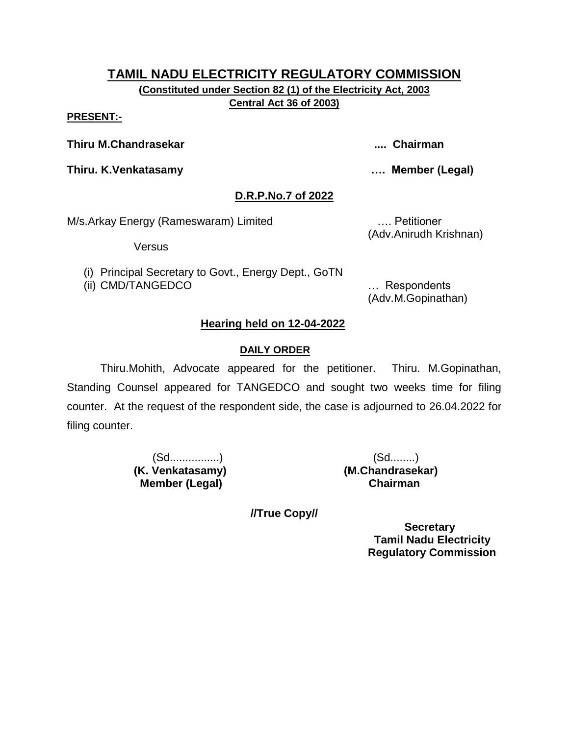**(Constituted under Section 82 (1) of the Electricity Act, 2003 Central Act 36 of 2003)**

#### **PRESENT:-**

**Thiru M.Chandrasekar .... Chairman**

**Thiru. K.Venkatasamy …. Member (Legal)**

### **D.R.P.No.7 of 2022**

M/s.Arkay Energy (Rameswaram) Limited …. Petitioner

Versus

(i) Principal Secretary to Govt., Energy Dept., GoTN

(ii) CMD/TANGEDCO … Respondents

(Adv.Anirudh Krishnan)

(Adv.M.Gopinathan)

# **Hearing held on 12-04-2022**

### **DAILY ORDER**

Thiru.Mohith, Advocate appeared for the petitioner. Thiru. M.Gopinathan, Standing Counsel appeared for TANGEDCO and sought two weeks time for filing counter. At the request of the respondent side, the case is adjourned to 26.04.2022 for filing counter.

> **(K. Venkatasamy) (M.Chandrasekar) Member (Legal) Chairman**

(Sd................) (Sd........)

**//True Copy//**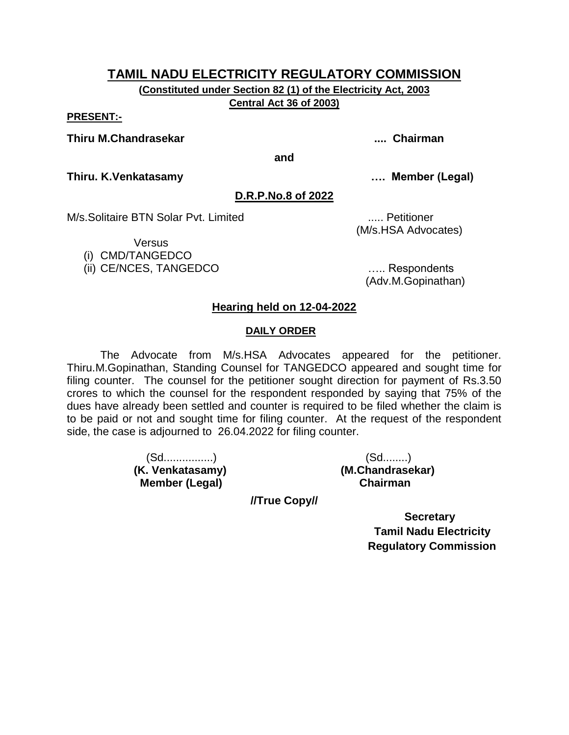**(Constituted under Section 82 (1) of the Electricity Act, 2003 Central Act 36 of 2003)**

#### **PRESENT:-**

**Thiru M.Chandrasekar .... Chairman**

**and**

**Thiru. K.Venkatasamy …. Member (Legal)**

#### **D.R.P.No.8 of 2022**

M/s.Solitaire BTN Solar Pyt. Limited **Example 2018** 1.... Petitioner

**Versus** 

(i) CMD/TANGEDCO

(ii) CE/NCES, TANGEDCO ….. Respondents

(M/s.HSA Advocates)

(Adv.M.Gopinathan)

#### **Hearing held on 12-04-2022**

#### **DAILY ORDER**

The Advocate from M/s.HSA Advocates appeared for the petitioner. Thiru.M.Gopinathan, Standing Counsel for TANGEDCO appeared and sought time for filing counter. The counsel for the petitioner sought direction for payment of Rs.3.50 crores to which the counsel for the respondent responded by saying that 75% of the dues have already been settled and counter is required to be filed whether the claim is to be paid or not and sought time for filing counter. At the request of the respondent side, the case is adjourned to 26.04.2022 for filing counter.

> (Sd................) (Sd........) **(K. Venkatasamy) (M.Chandrasekar) Member (Legal)**

**//True Copy//**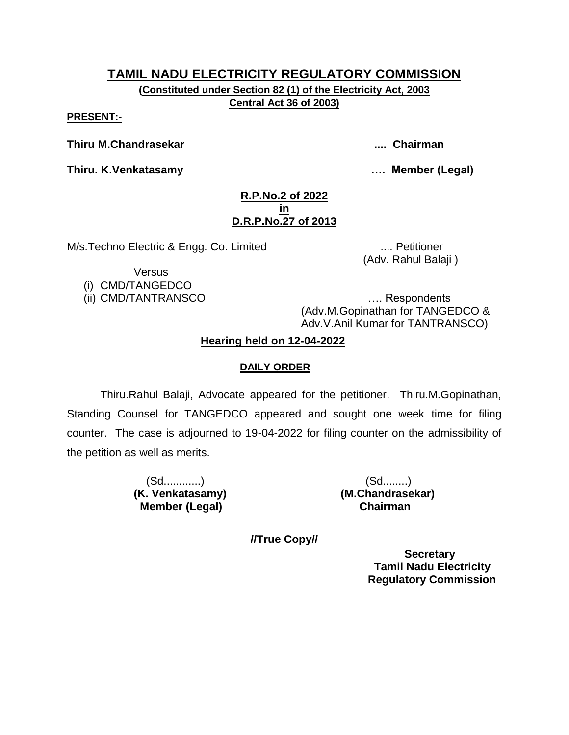**(Constituted under Section 82 (1) of the Electricity Act, 2003 Central Act 36 of 2003)**

**PRESENT:-**

**Thiru M.Chandrasekar .... Chairman**

**Thiru. K.Venkatasamy …. Member (Legal)**

#### **R.P.No.2 of 2022 in D.R.P.No.27 of 2013**

M/s.Techno Electric & Engg. Co. Limited .... Petitioner

(Adv. Rahul Balaji )

**Versus** 

(i) CMD/TANGEDCO

(ii) CMD/TANTRANSCO …. Respondents (Adv.M.Gopinathan for TANGEDCO & Adv.V.Anil Kumar for TANTRANSCO)

# **Hearing held on 12-04-2022**

# **DAILY ORDER**

Thiru.Rahul Balaji, Advocate appeared for the petitioner. Thiru.M.Gopinathan, Standing Counsel for TANGEDCO appeared and sought one week time for filing counter. The case is adjourned to 19-04-2022 for filing counter on the admissibility of the petition as well as merits.

> (Sd............) (Sd........)  **Member (Legal) Chairman**

**(K. Venkatasamy) (M.Chandrasekar)**

**//True Copy//**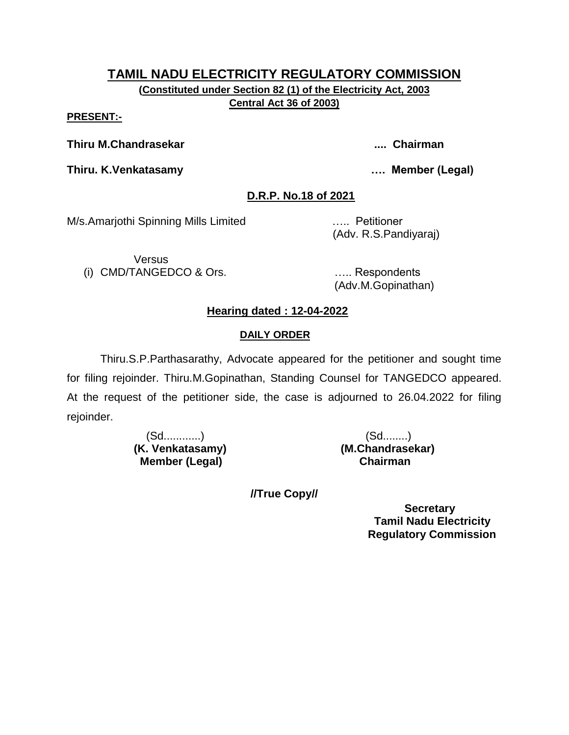**(Constituted under Section 82 (1) of the Electricity Act, 2003 Central Act 36 of 2003)**

#### **PRESENT:-**

**Thiru M.Chandrasekar .... Chairman**

**Thiru. K.Venkatasamy …. Member (Legal)**

# **D.R.P. No.18 of 2021**

M/s.Amarjothi Spinning Mills Limited ….. Petitioner

(Adv. R.S.Pandiyaraj)

**Versus** (i) CMD/TANGEDCO & Ors. ….. Respondents

(Adv.M.Gopinathan)

# **Hearing dated : 12-04-2022**

# **DAILY ORDER**

Thiru.S.P.Parthasarathy, Advocate appeared for the petitioner and sought time for filing rejoinder. Thiru.M.Gopinathan, Standing Counsel for TANGEDCO appeared. At the request of the petitioner side, the case is adjourned to 26.04.2022 for filing rejoinder.

> (Sd............) (Sd........) **Member (Legal)**

**(K. Venkatasamy) (M.Chandrasekar)**

**//True Copy//**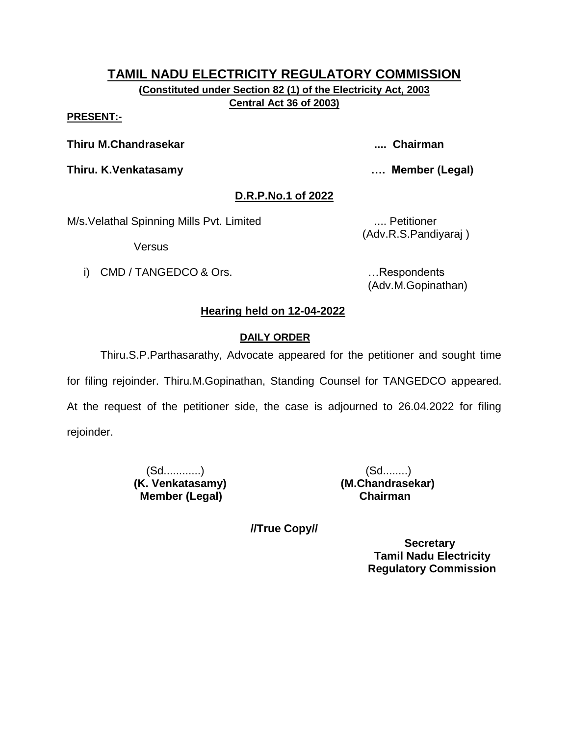**(Constituted under Section 82 (1) of the Electricity Act, 2003 Central Act 36 of 2003)**

#### **PRESENT:-**

**Thiru M.Chandrasekar .... Chairman**

**Thiru. K.Venkatasamy …. Member (Legal)**

# **D.R.P.No.1 of 2022**

M/s. Velathal Spinning Mills Pvt. Limited .... Petitioner

Versus

i) CMD / TANGEDCO & Ors. **Example 20** in the second control of the second control of the second control of the second control of the second control of the second control of the second control of the second control of the s

(Adv.R.S.Pandiyaraj )

(Adv.M.Gopinathan)

# **Hearing held on 12-04-2022**

# **DAILY ORDER**

Thiru.S.P.Parthasarathy, Advocate appeared for the petitioner and sought time for filing rejoinder. Thiru.M.Gopinathan, Standing Counsel for TANGEDCO appeared. At the request of the petitioner side, the case is adjourned to 26.04.2022 for filing

rejoinder.

 (Sd............) (Sd........)  **Member (Legal) Chairman**

**(K. Venkatasamy) (M.Chandrasekar)**

**//True Copy//**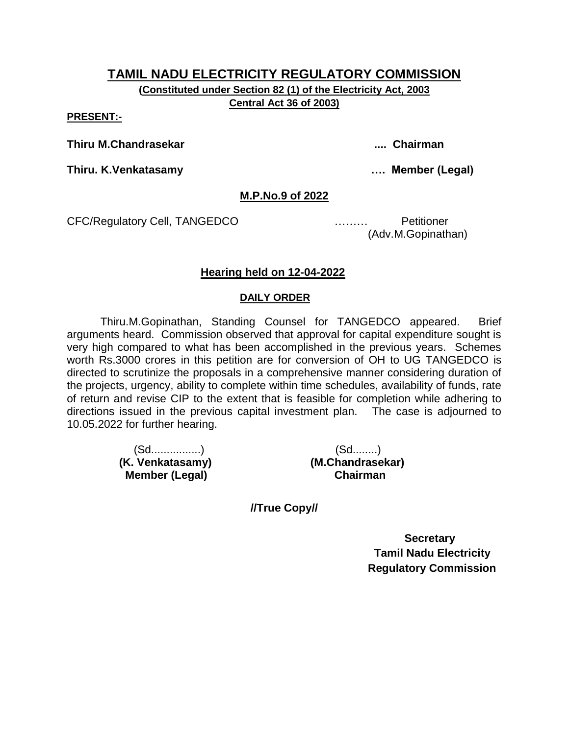**(Constituted under Section 82 (1) of the Electricity Act, 2003 Central Act 36 of 2003)**

**PRESENT:-**

**Thiru M.Chandrasekar .... Chairman**

**Thiru. K.Venkatasamy …. Member (Legal)**

#### **M.P.No.9 of 2022**

CFC/Regulatory Cell, TANGEDCO ……… Petitioner

(Adv.M.Gopinathan)

### **Hearing held on 12-04-2022**

#### **DAILY ORDER**

Thiru.M.Gopinathan, Standing Counsel for TANGEDCO appeared. Brief arguments heard. Commission observed that approval for capital expenditure sought is very high compared to what has been accomplished in the previous years. Schemes worth Rs.3000 crores in this petition are for conversion of OH to UG TANGEDCO is directed to scrutinize the proposals in a comprehensive manner considering duration of the projects, urgency, ability to complete within time schedules, availability of funds, rate of return and revise CIP to the extent that is feasible for completion while adhering to directions issued in the previous capital investment plan. The case is adjourned to 10.05.2022 for further hearing.

> (Sd................) (Sd........) **Member (Legal)**

 **(K. Venkatasamy) (M.Chandrasekar)**

**//True Copy//**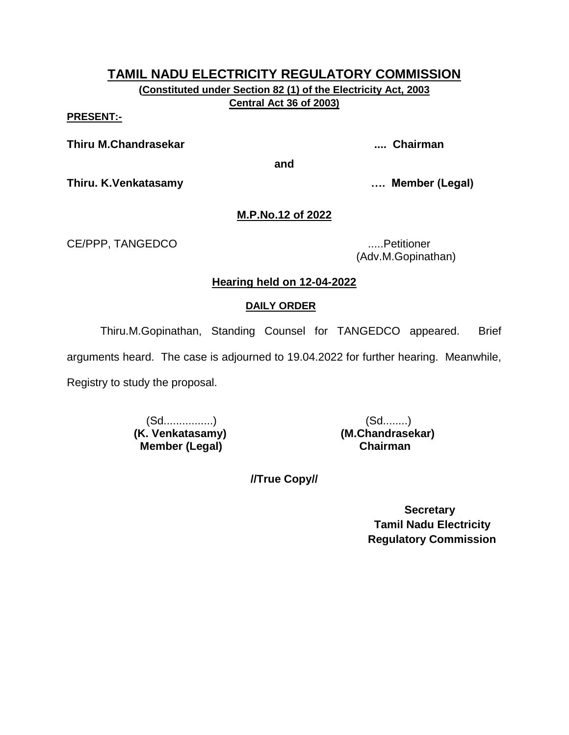**(Constituted under Section 82 (1) of the Electricity Act, 2003 Central Act 36 of 2003)**

**PRESENT:-**

**Thiru M.Chandrasekar .... Chairman**

**and**

**Thiru. K.Venkatasamy …. Member (Legal)**

# **M.P.No.12 of 2022**

CE/PPP, TANGEDCO .....Petitioner

(Adv.M.Gopinathan)

# **Hearing held on 12-04-2022**

# **DAILY ORDER**

Thiru.M.Gopinathan, Standing Counsel for TANGEDCO appeared. Brief

arguments heard. The case is adjourned to 19.04.2022 for further hearing. Meanwhile,

Registry to study the proposal.

 (Sd................) (Sd........) **(K. Venkatasamy) (M.Chandrasekar) Member (Legal) Chairman**

**//True Copy//**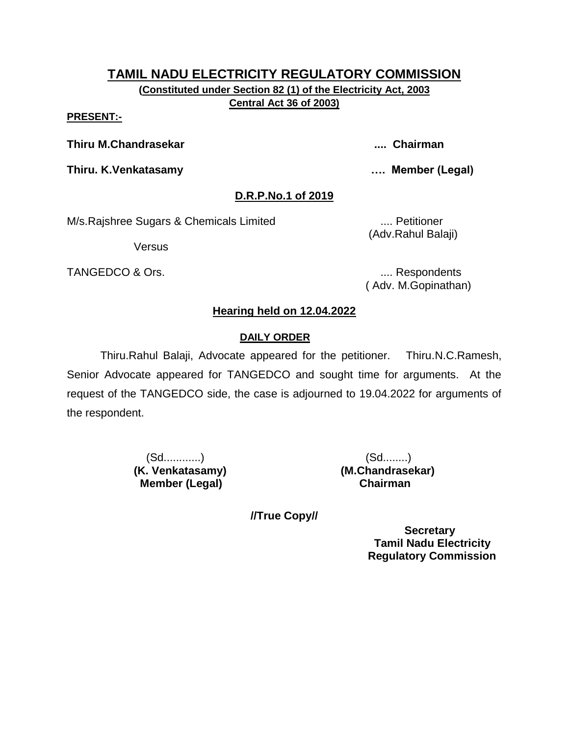**(Constituted under Section 82 (1) of the Electricity Act, 2003 Central Act 36 of 2003)**

#### **PRESENT:-**

**Thiru M.Chandrasekar .... Chairman**

**Thiru. K.Venkatasamy …. Member (Legal)**

# **D.R.P.No.1 of 2019**

M/s.Rajshree Sugars & Chemicals Limited .... Petitioner

Versus

TANGEDCO & Ors. .... Respondents

(Adv.Rahul Balaji)

( Adv. M.Gopinathan)

# **Hearing held on 12.04.2022**

# **DAILY ORDER**

Thiru.Rahul Balaji, Advocate appeared for the petitioner. Thiru.N.C.Ramesh, Senior Advocate appeared for TANGEDCO and sought time for arguments. At the request of the TANGEDCO side, the case is adjourned to 19.04.2022 for arguments of the respondent.

> (Sd............) (Sd........) **(K. Venkatasamy) (M.Chandrasekar) Member (Legal) Chairman**

**//True Copy//**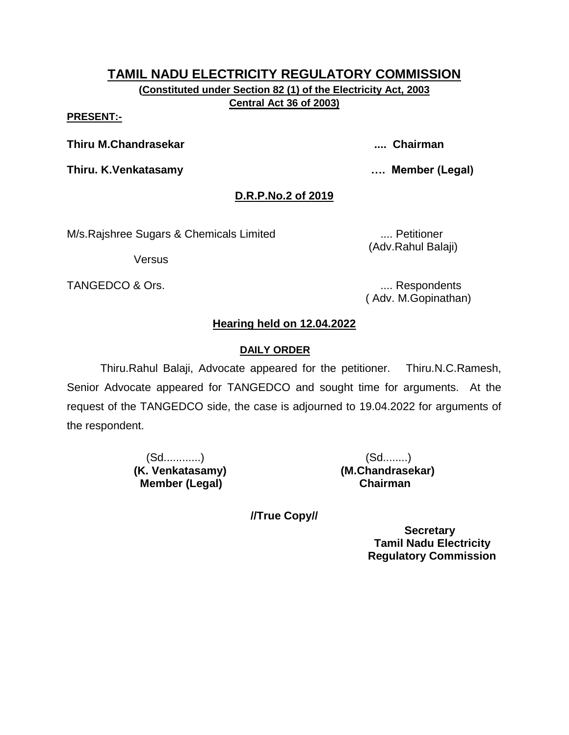**(Constituted under Section 82 (1) of the Electricity Act, 2003 Central Act 36 of 2003)**

#### **PRESENT:-**

**Thiru M.Chandrasekar .... Chairman**

**Thiru. K.Venkatasamy …. Member (Legal)**

# **D.R.P.No.2 of 2019**

M/s.Rajshree Sugars & Chemicals Limited .... Petitioner

(Adv.Rahul Balaji)

**Versus** 

TANGEDCO & Ors. .... Respondents

( Adv. M.Gopinathan)

# **Hearing held on 12.04.2022**

# **DAILY ORDER**

Thiru.Rahul Balaji, Advocate appeared for the petitioner. Thiru.N.C.Ramesh, Senior Advocate appeared for TANGEDCO and sought time for arguments. At the request of the TANGEDCO side, the case is adjourned to 19.04.2022 for arguments of the respondent.

> (Sd............) (Sd........) **(K. Venkatasamy) (M.Chandrasekar) Member (Legal) Chairman**

**//True Copy//**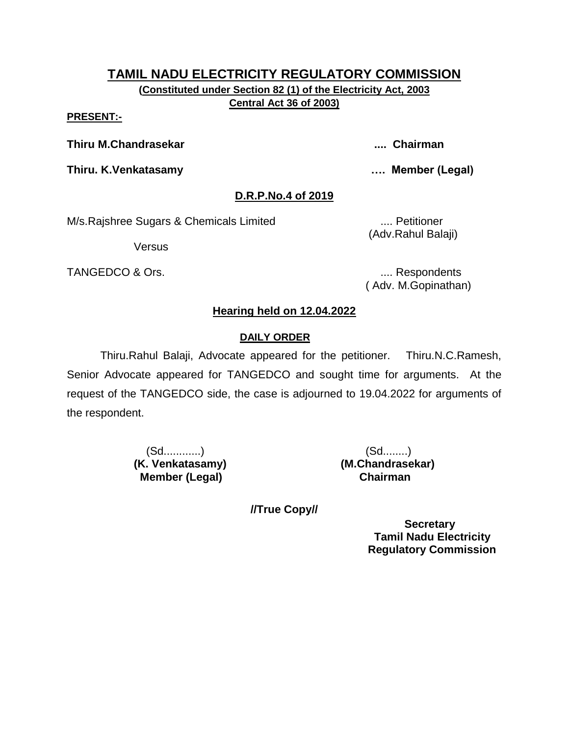**(Constituted under Section 82 (1) of the Electricity Act, 2003 Central Act 36 of 2003)**

#### **PRESENT:-**

**Thiru M.Chandrasekar .... Chairman**

**Thiru. K.Venkatasamy …. Member (Legal)**

# **D.R.P.No.4 of 2019**

M/s.Rajshree Sugars & Chemicals Limited .... Petitioner

Versus

TANGEDCO & Ors. .... Respondents

(Adv.Rahul Balaji)

( Adv. M.Gopinathan)

# **Hearing held on 12.04.2022**

# **DAILY ORDER**

Thiru.Rahul Balaji, Advocate appeared for the petitioner. Thiru.N.C.Ramesh, Senior Advocate appeared for TANGEDCO and sought time for arguments. At the request of the TANGEDCO side, the case is adjourned to 19.04.2022 for arguments of the respondent.

> (Sd............) (Sd........) **(K. Venkatasamy) (M.Chandrasekar) Member (Legal) Chairman**

**//True Copy//**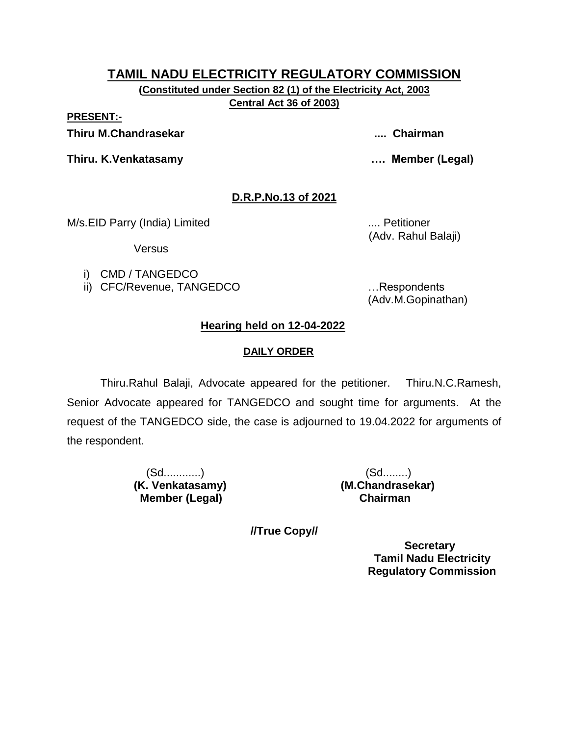**(Constituted under Section 82 (1) of the Electricity Act, 2003 Central Act 36 of 2003)**

**PRESENT:-**

**Thiru M.Chandrasekar .... Chairman**

**Thiru. K.Venkatasamy …. Member (Legal)**

# **D.R.P.No.13 of 2021**

M/s.EID Parry (India) Limited .... Petitioner

Versus

i) CMD / TANGEDCO

ii) CFC/Revenue, TANGEDCO …Respondents

(Adv. Rahul Balaji)

(Adv.M.Gopinathan)

# **Hearing held on 12-04-2022**

# **DAILY ORDER**

Thiru.Rahul Balaji, Advocate appeared for the petitioner. Thiru.N.C.Ramesh, Senior Advocate appeared for TANGEDCO and sought time for arguments. At the request of the TANGEDCO side, the case is adjourned to 19.04.2022 for arguments of the respondent.

> (Sd............) (Sd........) **(K. Venkatasamy) (M.Chandrasekar) Member (Legal) Chairman**

**//True Copy//**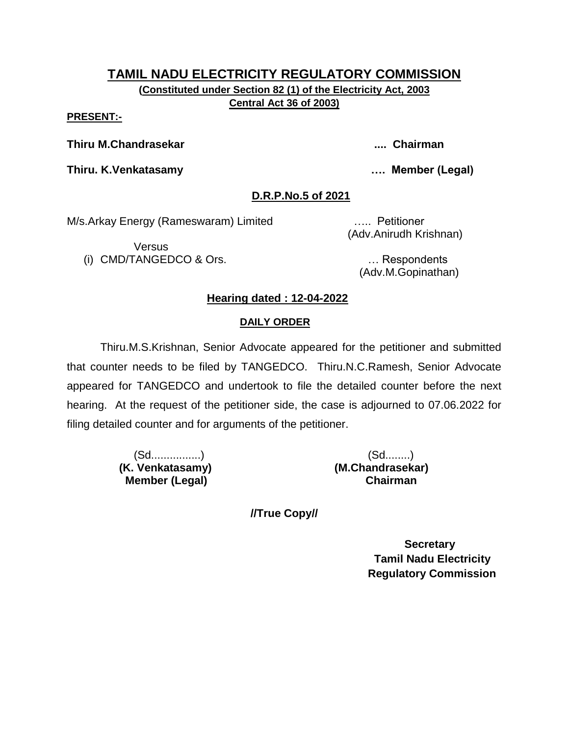**(Constituted under Section 82 (1) of the Electricity Act, 2003 Central Act 36 of 2003)**

**PRESENT:-**

**Thiru M.Chandrasekar .... Chairman**

**Thiru. K.Venkatasamy …. Member (Legal)**

### **D.R.P.No.5 of 2021**

M/s.Arkay Energy (Rameswaram) Limited ….. Petitioner

Versus (i) CMD/TANGEDCO & Ors. … Respondents

(Adv.Anirudh Krishnan)

(Adv.M.Gopinathan)

# **Hearing dated : 12-04-2022**

#### **DAILY ORDER**

Thiru.M.S.Krishnan, Senior Advocate appeared for the petitioner and submitted that counter needs to be filed by TANGEDCO. Thiru.N.C.Ramesh, Senior Advocate appeared for TANGEDCO and undertook to file the detailed counter before the next hearing. At the request of the petitioner side, the case is adjourned to 07.06.2022 for filing detailed counter and for arguments of the petitioner.

> (Sd................) (Sd........)  **(K. Venkatasamy) (M.Chandrasekar) Member (Legal) Chairman**

**//True Copy//**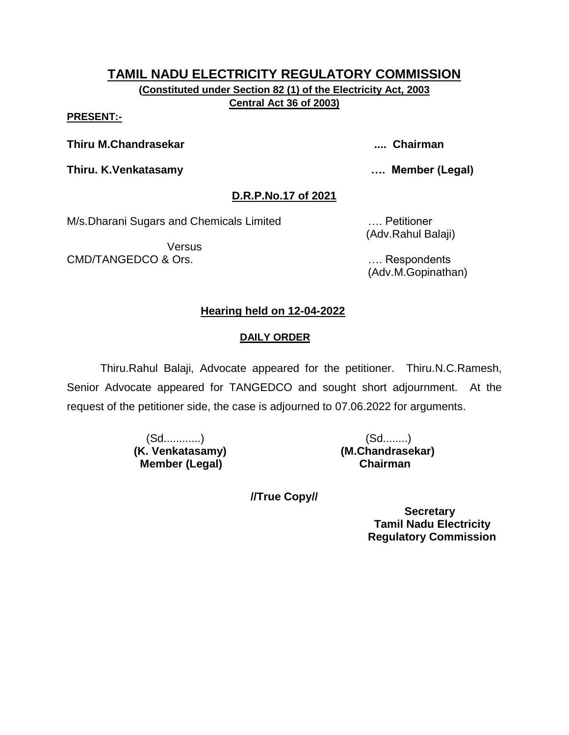**(Constituted under Section 82 (1) of the Electricity Act, 2003 Central Act 36 of 2003)**

**PRESENT:-**

**Thiru M.Chandrasekar .... Chairman**

**Thiru. K.Venkatasamy …. Member (Legal)**

# **D.R.P.No.17 of 2021**

M/s.Dharani Sugars and Chemicals Limited …. Petitioner

Versus CMD/TANGEDCO & Ors. …. Respondents

(Adv.Rahul Balaji)

(Adv.M.Gopinathan)

# **Hearing held on 12-04-2022**

# **DAILY ORDER**

Thiru.Rahul Balaji, Advocate appeared for the petitioner. Thiru.N.C.Ramesh, Senior Advocate appeared for TANGEDCO and sought short adjournment. At the request of the petitioner side, the case is adjourned to 07.06.2022 for arguments.

> (Sd............) (Sd........) **(K. Venkatasamy) (M.Chandrasekar) Member (Legal) Chairman**

**//True Copy//**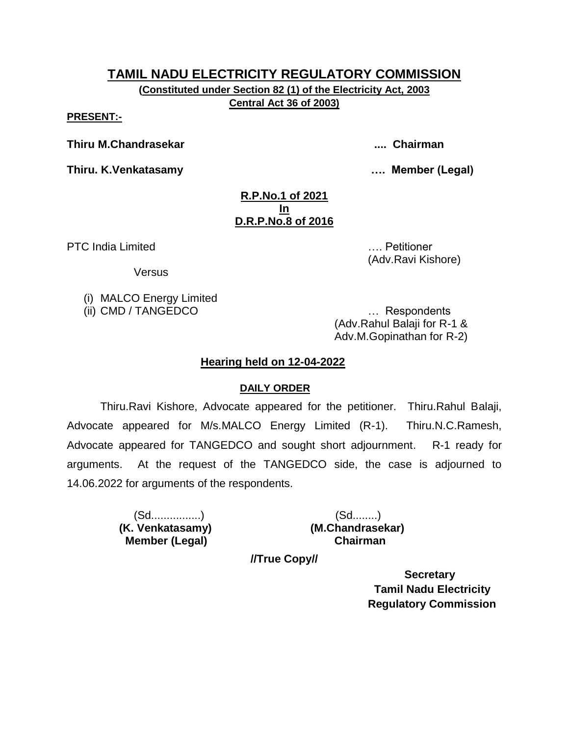**(Constituted under Section 82 (1) of the Electricity Act, 2003 Central Act 36 of 2003)**

**PRESENT:-**

**Thiru M.Chandrasekar .... Chairman**

**Thiru. K.Venkatasamy …. Member (Legal)**

(Adv.Ravi Kishore)

#### **R.P.No.1 of 2021 In D.R.P.No.8 of 2016**

PTC India Limited **Exercise 2018** 2019 12:00:00 No. 2019 12:00:00 No. 2019 12:00:00 No. 2019 12:00:00 Petitioner

Versus

(i) MALCO Energy Limited

(ii) CMD / TANGEDCO … Respondents (Adv.Rahul Balaji for R-1 & Adv.M.Gopinathan for R-2)

# **Hearing held on 12-04-2022**

# **DAILY ORDER**

Thiru.Ravi Kishore, Advocate appeared for the petitioner. Thiru.Rahul Balaji, Advocate appeared for M/s.MALCO Energy Limited (R-1). Thiru.N.C.Ramesh, Advocate appeared for TANGEDCO and sought short adjournment. R-1 ready for arguments. At the request of the TANGEDCO side, the case is adjourned to 14.06.2022 for arguments of the respondents.

> (Sd................) (Sd........)  **Member (Legal) Chairman**

 **(K. Venkatasamy) (M.Chandrasekar)**

**//True Copy//**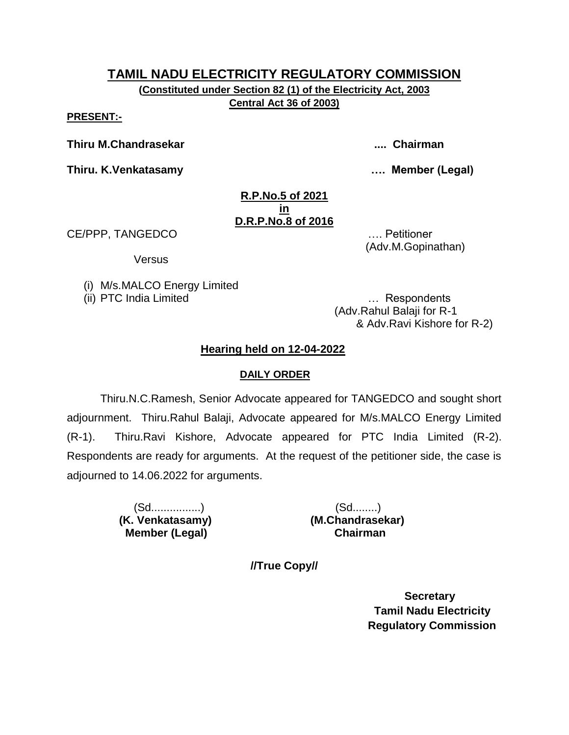**(Constituted under Section 82 (1) of the Electricity Act, 2003 Central Act 36 of 2003)**

**PRESENT:-**

**Thiru M.Chandrasekar .... Chairman**

**Thiru. K.Venkatasamy …. Member (Legal)**

#### **R.P.No.5 of 2021 in D.R.P.No.8 of 2016**

CE/PPP, TANGEDCO …. Petitioner

Versus

(i) M/s.MALCO Energy Limited

(ii) PTC India Limited … Respondents

(Adv.Rahul Balaji for R-1 & Adv.Ravi Kishore for R-2)

(Adv.M.Gopinathan)

# **Hearing held on 12-04-2022**

### **DAILY ORDER**

Thiru.N.C.Ramesh, Senior Advocate appeared for TANGEDCO and sought short adjournment. Thiru.Rahul Balaji, Advocate appeared for M/s.MALCO Energy Limited (R-1). Thiru.Ravi Kishore, Advocate appeared for PTC India Limited (R-2). Respondents are ready for arguments. At the request of the petitioner side, the case is adjourned to 14.06.2022 for arguments.

> (Sd................) (Sd........)  **Member (Legal) Chairman**

 **(K. Venkatasamy) (M.Chandrasekar)**

**//True Copy//**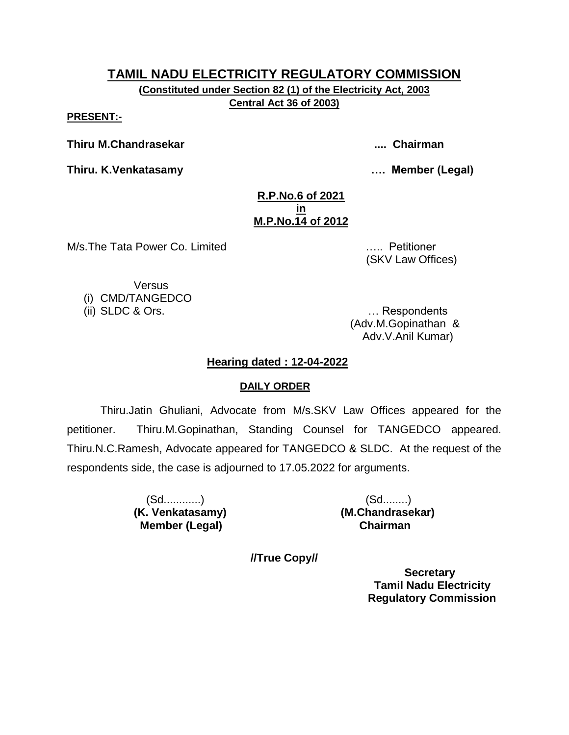**(Constituted under Section 82 (1) of the Electricity Act, 2003 Central Act 36 of 2003)**

**PRESENT:-**

**Thiru M.Chandrasekar .... Chairman**

**Thiru. K.Venkatasamy …. Member (Legal)**

#### **R.P.No.6 of 2021 in M.P.No.14 of 2012**

M/s.The Tata Power Co. Limited ….. Petitioner

(SKV Law Offices)

Versus

(i) CMD/TANGEDCO

(ii) SLDC & Ors. … Respondents (Adv.M.Gopinathan & Adv.V.Anil Kumar)

# **Hearing dated : 12-04-2022**

# **DAILY ORDER**

Thiru.Jatin Ghuliani, Advocate from M/s.SKV Law Offices appeared for the petitioner. Thiru.M.Gopinathan, Standing Counsel for TANGEDCO appeared. Thiru.N.C.Ramesh, Advocate appeared for TANGEDCO & SLDC. At the request of the respondents side, the case is adjourned to 17.05.2022 for arguments.

> (Sd............) (Sd........) **(K. Venkatasamy) (M.Chandrasekar) Member (Legal) Chairman**

**//True Copy//**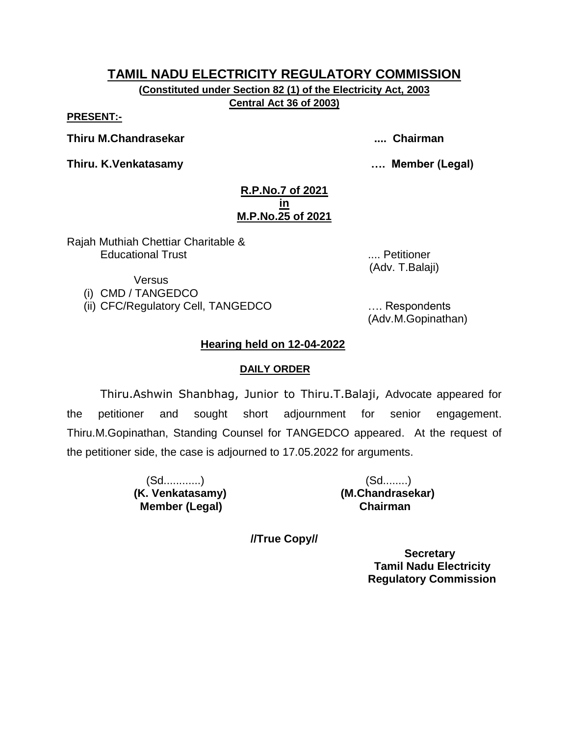**(Constituted under Section 82 (1) of the Electricity Act, 2003 Central Act 36 of 2003)**

**PRESENT:-**

**Thiru M.Chandrasekar .... Chairman**

**Thiru. K.Venkatasamy …. Member (Legal)**

#### **R.P.No.7 of 2021 in M.P.No.25 of 2021**

Rajah Muthiah Chettiar Charitable & Educational Trust .... Petitioner

(Adv. T.Balaji)

Versus

(i) CMD / TANGEDCO

(ii) CFC/Regulatory Cell, TANGEDCO …. Respondents

(Adv.M.Gopinathan)

# **Hearing held on 12-04-2022**

# **DAILY ORDER**

Thiru.Ashwin Shanbhag, Junior to Thiru.T.Balaji, Advocate appeared for the petitioner and sought short adjournment for senior engagement. Thiru.M.Gopinathan, Standing Counsel for TANGEDCO appeared. At the request of the petitioner side, the case is adjourned to 17.05.2022 for arguments.

> (Sd............) (Sd........)  **Member (Legal) Chairman**

**(K. Venkatasamy) (M.Chandrasekar)**

**//True Copy//**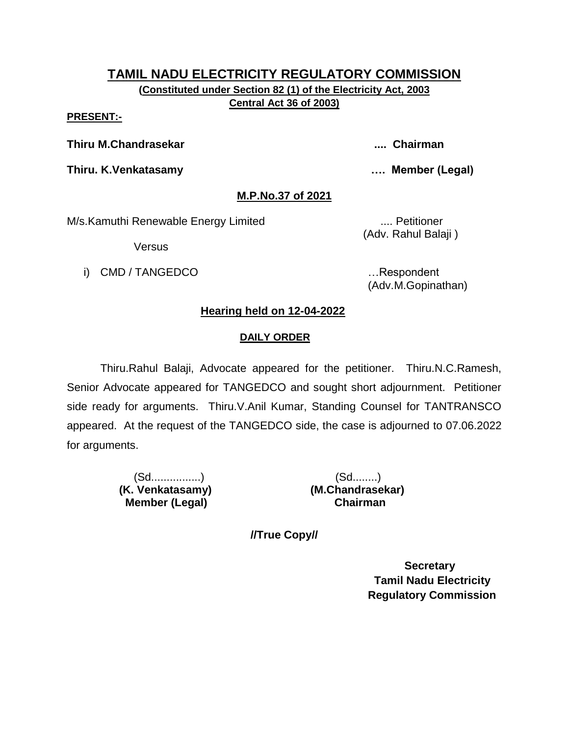**(Constituted under Section 82 (1) of the Electricity Act, 2003 Central Act 36 of 2003)**

#### **PRESENT:-**

**Thiru M.Chandrasekar .... Chairman**

**Thiru. K.Venkatasamy …. Member (Legal)**

# **M.P.No.37 of 2021**

M/s.Kamuthi Renewable Energy Limited .... Petitioner

Versus

i) CMD / TANGEDCO **in the set of the set of the set of the set of the set of the set of the set of the set of the set of the set of the set of the set of the set of the set of the set of the set of the set of the set of th** 

(Adv. Rahul Balaji )

(Adv.M.Gopinathan)

# **Hearing held on 12-04-2022**

# **DAILY ORDER**

Thiru.Rahul Balaji, Advocate appeared for the petitioner. Thiru.N.C.Ramesh, Senior Advocate appeared for TANGEDCO and sought short adjournment. Petitioner side ready for arguments. Thiru.V.Anil Kumar, Standing Counsel for TANTRANSCO appeared. At the request of the TANGEDCO side, the case is adjourned to 07.06.2022 for arguments.

> (Sd................) (Sd........)  **Member (Legal) Chairman**

 **(K. Venkatasamy) (M.Chandrasekar)**

**//True Copy//**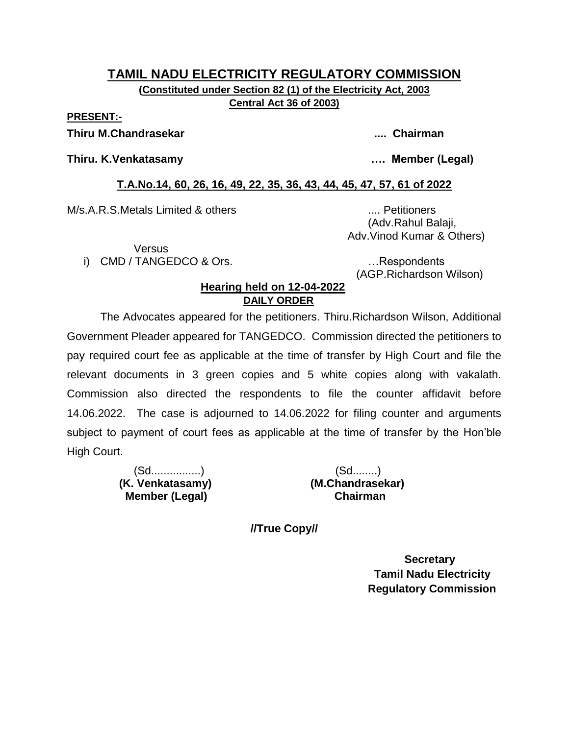#### **TAMIL NADU ELECTRICITY REGULATORY COMMISSION (Constituted under Section 82 (1) of the Electricity Act, 2003 Central Act 36 of 2003)**

#### **PRESENT:-**

#### **Thiru M.Chandrasekar .... Chairman**

#### **Thiru. K.Venkatasamy …. Member (Legal)**

### **T.A.No.14, 60, 26, 16, 49, 22, 35, 36, 43, 44, 45, 47, 57, 61 of 2022**

M/s.A.R.S.Metals Limited & others .... Petitioners

 (Adv.Rahul Balaji, Adv.Vinod Kumar & Others)

Versus

i) CMD / TANGEDCO & Ors. **Example 20** in the second control of the second control of the second control of the second control of the second control of the second control of the second control of the second control of the s

(AGP.Richardson Wilson)

#### **Hearing held on 12-04-2022 DAILY ORDER**

The Advocates appeared for the petitioners. Thiru.Richardson Wilson, Additional Government Pleader appeared for TANGEDCO. Commission directed the petitioners to pay required court fee as applicable at the time of transfer by High Court and file the relevant documents in 3 green copies and 5 white copies along with vakalath. Commission also directed the respondents to file the counter affidavit before 14.06.2022. The case is adjourned to 14.06.2022 for filing counter and arguments subject to payment of court fees as applicable at the time of transfer by the Hon"ble High Court.

> (Sd................) (Sd........)  **(K. Venkatasamy) (M.Chandrasekar) Member (Legal)**

**//True Copy//**